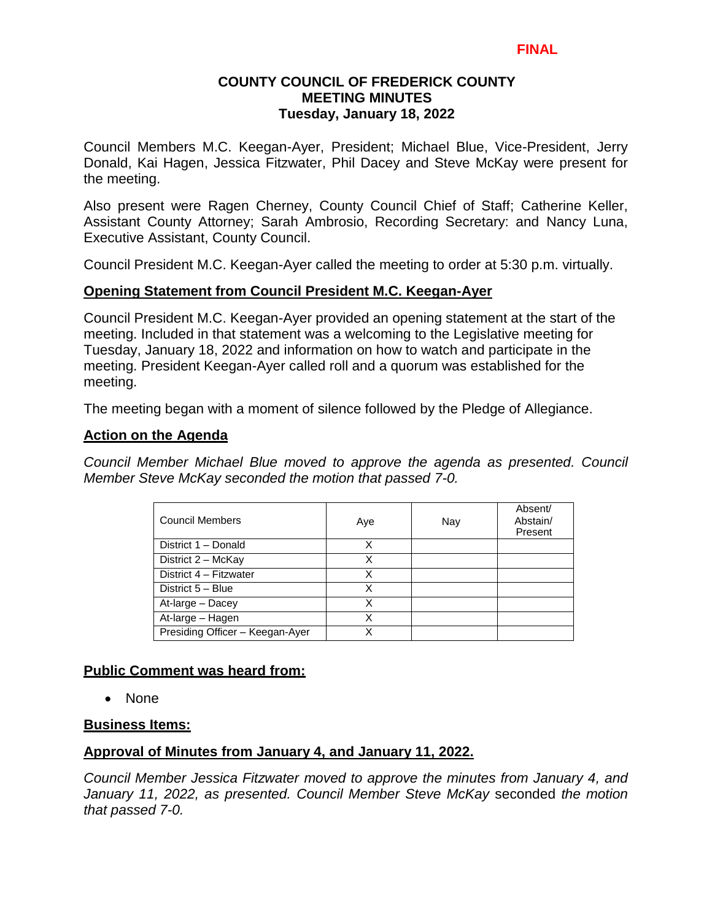# **COUNTY COUNCIL OF FREDERICK COUNTY MEETING MINUTES Tuesday, January 18, 2022**

Council Members M.C. Keegan-Ayer, President; Michael Blue, Vice-President, Jerry Donald, Kai Hagen, Jessica Fitzwater, Phil Dacey and Steve McKay were present for the meeting.

Also present were Ragen Cherney, County Council Chief of Staff; Catherine Keller, Assistant County Attorney; Sarah Ambrosio, Recording Secretary: and Nancy Luna, Executive Assistant, County Council.

Council President M.C. Keegan-Ayer called the meeting to order at 5:30 p.m. virtually.

# **Opening Statement from Council President M.C. Keegan-Ayer**

Council President M.C. Keegan-Ayer provided an opening statement at the start of the meeting. Included in that statement was a welcoming to the Legislative meeting for Tuesday, January 18, 2022 and information on how to watch and participate in the meeting. President Keegan-Ayer called roll and a quorum was established for the meeting.

The meeting began with a moment of silence followed by the Pledge of Allegiance.

# **Action on the Agenda**

*Council Member Michael Blue moved to approve the agenda as presented. Council Member Steve McKay seconded the motion that passed 7-0.*

| <b>Council Members</b>          | Aye | Nay | Absent/<br>Abstain/<br>Present |
|---------------------------------|-----|-----|--------------------------------|
| District 1 - Donald             | x   |     |                                |
| District 2 - McKay              | Χ   |     |                                |
| District 4 - Fitzwater          | Χ   |     |                                |
| District 5 - Blue               | X   |     |                                |
| At-large - Dacey                | X   |     |                                |
| At-large - Hagen                | x   |     |                                |
| Presiding Officer - Keegan-Ayer | x   |     |                                |

# **Public Comment was heard from:**

• None

# **Business Items:**

# **Approval of Minutes from January 4, and January 11, 2022.**

*Council Member Jessica Fitzwater moved to approve the minutes from January 4, and January 11, 2022, as presented. Council Member Steve McKay* seconded *the motion that passed 7-0.*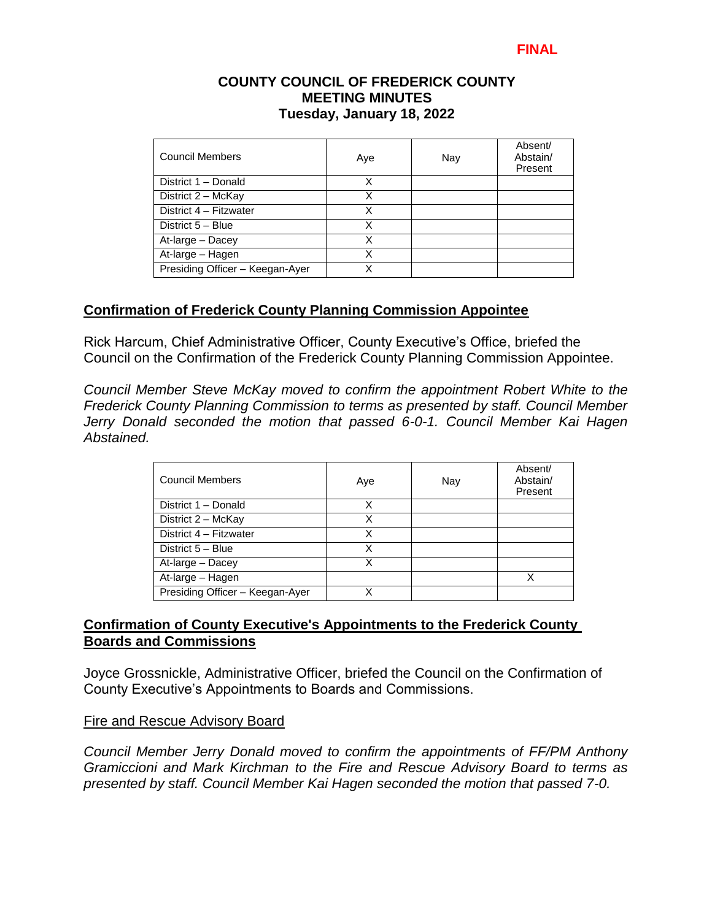### **COUNTY COUNCIL OF FREDERICK COUNTY MEETING MINUTES Tuesday, January 18, 2022**

| <b>Council Members</b>          | Aye | Nay | Absent/<br>Abstain/<br>Present |
|---------------------------------|-----|-----|--------------------------------|
| District 1 - Donald             | x   |     |                                |
| District 2 - McKay              | Χ   |     |                                |
| District 4 - Fitzwater          | x   |     |                                |
| District 5 - Blue               | x   |     |                                |
| At-large - Dacey                | Χ   |     |                                |
| At-large - Hagen                | Χ   |     |                                |
| Presiding Officer - Keegan-Ayer |     |     |                                |

# **Confirmation of Frederick County Planning Commission Appointee**

Rick Harcum, Chief Administrative Officer, County Executive's Office, briefed the Council on the Confirmation of the Frederick County Planning Commission Appointee.

*Council Member Steve McKay moved to confirm the appointment Robert White to the Frederick County Planning Commission to terms as presented by staff. Council Member Jerry Donald seconded the motion that passed 6-0-1. Council Member Kai Hagen Abstained.* 

| <b>Council Members</b>          | Aye | Nay | Absent/<br>Abstain/<br>Present |
|---------------------------------|-----|-----|--------------------------------|
| District 1 - Donald             | x   |     |                                |
| District 2 - McKay              | х   |     |                                |
| District 4 - Fitzwater          | Χ   |     |                                |
| District 5 - Blue               | Χ   |     |                                |
| At-large - Dacey                | Χ   |     |                                |
| At-large - Hagen                |     |     |                                |
| Presiding Officer - Keegan-Ayer |     |     |                                |

# **Confirmation of County Executive's Appointments to the Frederick County Boards and Commissions**

Joyce Grossnickle, Administrative Officer, briefed the Council on the Confirmation of County Executive's Appointments to Boards and Commissions.

#### Fire and Rescue Advisory Board

*Council Member Jerry Donald moved to confirm the appointments of FF/PM Anthony Gramiccioni and Mark Kirchman to the Fire and Rescue Advisory Board to terms as presented by staff. Council Member Kai Hagen seconded the motion that passed 7-0.*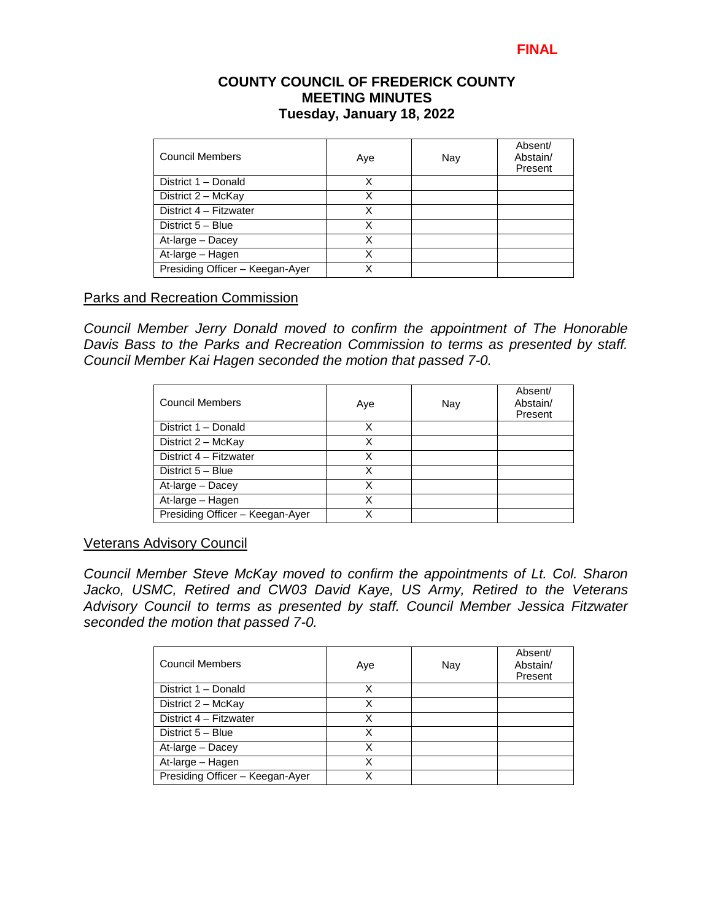### **COUNTY COUNCIL OF FREDERICK COUNTY MEETING MINUTES Tuesday, January 18, 2022**

| Council Members                 | Aye | Nay | Absent/<br>Abstain/<br>Present |
|---------------------------------|-----|-----|--------------------------------|
| District 1 - Donald             | X   |     |                                |
| District 2 - McKay              | X   |     |                                |
| District 4 - Fitzwater          | Χ   |     |                                |
| District 5 - Blue               | Χ   |     |                                |
| At-large - Dacey                | x   |     |                                |
| At-large - Hagen                | х   |     |                                |
| Presiding Officer - Keegan-Ayer | x   |     |                                |

### Parks and Recreation Commission

*Council Member Jerry Donald moved to confirm the appointment of The Honorable Davis Bass to the Parks and Recreation Commission to terms as presented by staff. Council Member Kai Hagen seconded the motion that passed 7-0.* 

| <b>Council Members</b>          | Aye | Nay | Absent/<br>Abstain/<br>Present |
|---------------------------------|-----|-----|--------------------------------|
| District 1 - Donald             | X   |     |                                |
| District 2 - McKay              | x   |     |                                |
| District 4 - Fitzwater          | Χ   |     |                                |
| District 5 - Blue               | Χ   |     |                                |
| At-large - Dacey                | x   |     |                                |
| At-large - Hagen                | x   |     |                                |
| Presiding Officer - Keegan-Ayer | x   |     |                                |

#### Veterans Advisory Council

*Council Member Steve McKay moved to confirm the appointments of Lt. Col. Sharon Jacko, USMC, Retired and CW03 David Kaye, US Army, Retired to the Veterans Advisory Council to terms as presented by staff. Council Member Jessica Fitzwater seconded the motion that passed 7-0.* 

| <b>Council Members</b>          | Aye | Nay | Absent/<br>Abstain/<br>Present |
|---------------------------------|-----|-----|--------------------------------|
| District 1 - Donald             | X   |     |                                |
| District 2 - McKay              | Χ   |     |                                |
| District 4 - Fitzwater          | x   |     |                                |
| District 5 - Blue               | х   |     |                                |
| At-large - Dacey                | Χ   |     |                                |
| At-large - Hagen                | χ   |     |                                |
| Presiding Officer - Keegan-Ayer |     |     |                                |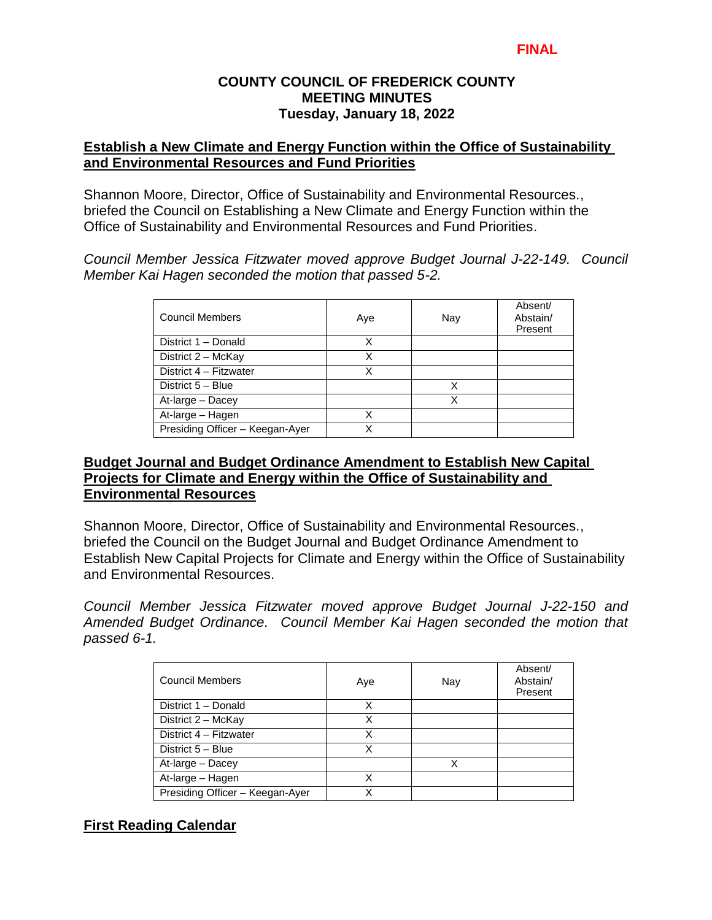# **COUNTY COUNCIL OF FREDERICK COUNTY MEETING MINUTES Tuesday, January 18, 2022**

# **Establish a New Climate and Energy Function within the Office of Sustainability and Environmental Resources and Fund Priorities**

Shannon Moore, Director, Office of Sustainability and Environmental Resources., briefed the Council on Establishing a New Climate and Energy Function within the Office of Sustainability and Environmental Resources and Fund Priorities.

*Council Member Jessica Fitzwater moved approve Budget Journal J-22-149. Council Member Kai Hagen seconded the motion that passed 5-2.* 

| <b>Council Members</b>          | Aye | Nay | Absent/<br>Abstain/<br>Present |
|---------------------------------|-----|-----|--------------------------------|
| District 1 - Donald             | Χ   |     |                                |
| District 2 - McKay              | Χ   |     |                                |
| District 4 - Fitzwater          | Χ   |     |                                |
| District 5 - Blue               |     | х   |                                |
| At-large - Dacey                |     |     |                                |
| At-large - Hagen                | Χ   |     |                                |
| Presiding Officer - Keegan-Ayer |     |     |                                |

### **Budget Journal and Budget Ordinance Amendment to Establish New Capital Projects for Climate and Energy within the Office of Sustainability and Environmental Resources**

Shannon Moore, Director, Office of Sustainability and Environmental Resources., briefed the Council on the Budget Journal and Budget Ordinance Amendment to Establish New Capital Projects for Climate and Energy within the Office of Sustainability and Environmental Resources.

*Council Member Jessica Fitzwater moved approve Budget Journal J-22-150 and Amended Budget Ordinance. Council Member Kai Hagen seconded the motion that passed 6-1.* 

| <b>Council Members</b>                           | Aye | Nay | Absent/<br>Abstain/<br>Present |
|--------------------------------------------------|-----|-----|--------------------------------|
| District 1 - Donald                              | X   |     |                                |
| $\overline{D}\overline{\text{t}}$ rict 2 – McKay | X   |     |                                |
| District 4 - Fitzwater                           | Χ   |     |                                |
| District 5 - Blue                                | X   |     |                                |
| At-large - Dacey                                 |     |     |                                |
| At-large - Hagen                                 | Χ   |     |                                |
| Presiding Officer - Keegan-Ayer                  |     |     |                                |

# **First Reading Calendar**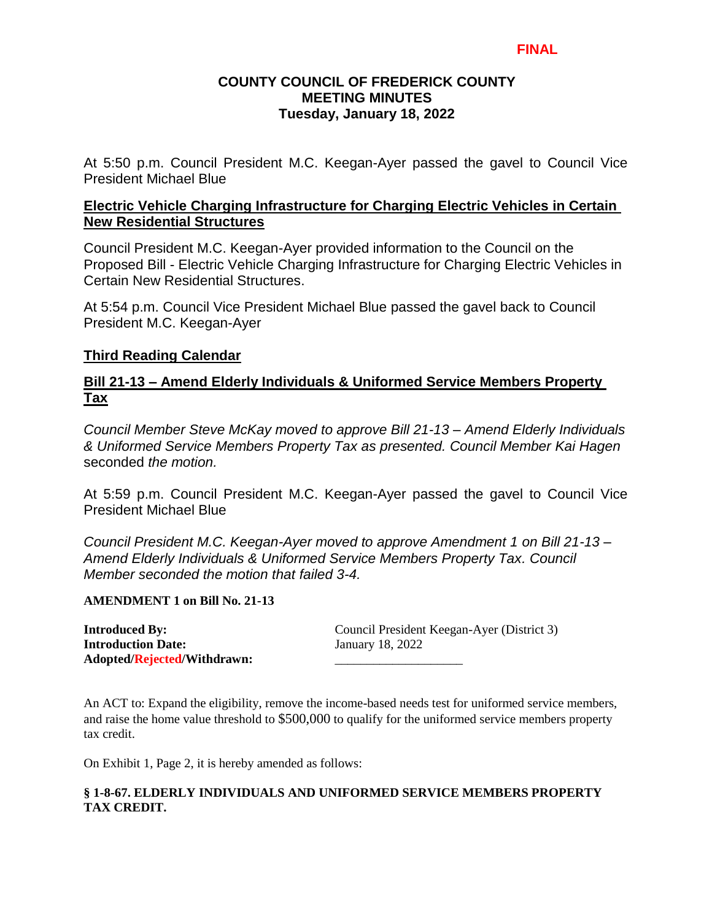# **COUNTY COUNCIL OF FREDERICK COUNTY MEETING MINUTES Tuesday, January 18, 2022**

At 5:50 p.m. Council President M.C. Keegan-Ayer passed the gavel to Council Vice President Michael Blue

### **Electric Vehicle Charging Infrastructure for Charging Electric Vehicles in Certain New Residential Structures**

Council President M.C. Keegan-Ayer provided information to the Council on the Proposed Bill - Electric Vehicle Charging Infrastructure for Charging Electric Vehicles in Certain New Residential Structures.

At 5:54 p.m. Council Vice President Michael Blue passed the gavel back to Council President M.C. Keegan-Ayer

# **Third Reading Calendar**

# **Bill 21-13 – Amend Elderly Individuals & Uniformed Service Members Property Tax**

*Council Member Steve McKay moved to approve Bill 21-13 – Amend Elderly Individuals & Uniformed Service Members Property Tax as presented. Council Member Kai Hagen*  seconded *the motion.*

At 5:59 p.m. Council President M.C. Keegan-Ayer passed the gavel to Council Vice President Michael Blue

*Council President M.C. Keegan-Ayer moved to approve Amendment 1 on Bill 21-13 – Amend Elderly Individuals & Uniformed Service Members Property Tax. Council Member seconded the motion that failed 3-4.*

#### **AMENDMENT 1 on Bill No. 21-13**

**Introduction Date:** January 18, 2022 **Adopted/Rejected/Withdrawn:** \_\_\_\_\_\_\_\_\_\_\_\_\_\_\_\_\_\_\_\_

**Introduced By:** Council President Keegan-Ayer (District 3)

An ACT to: Expand the eligibility, remove the income-based needs test for uniformed service members, and raise the home value threshold to \$500,000 to qualify for the uniformed service members property tax credit.

On Exhibit 1, Page 2, it is hereby amended as follows:

#### **§ 1-8-67. ELDERLY INDIVIDUALS AND UNIFORMED SERVICE MEMBERS PROPERTY TAX CREDIT.**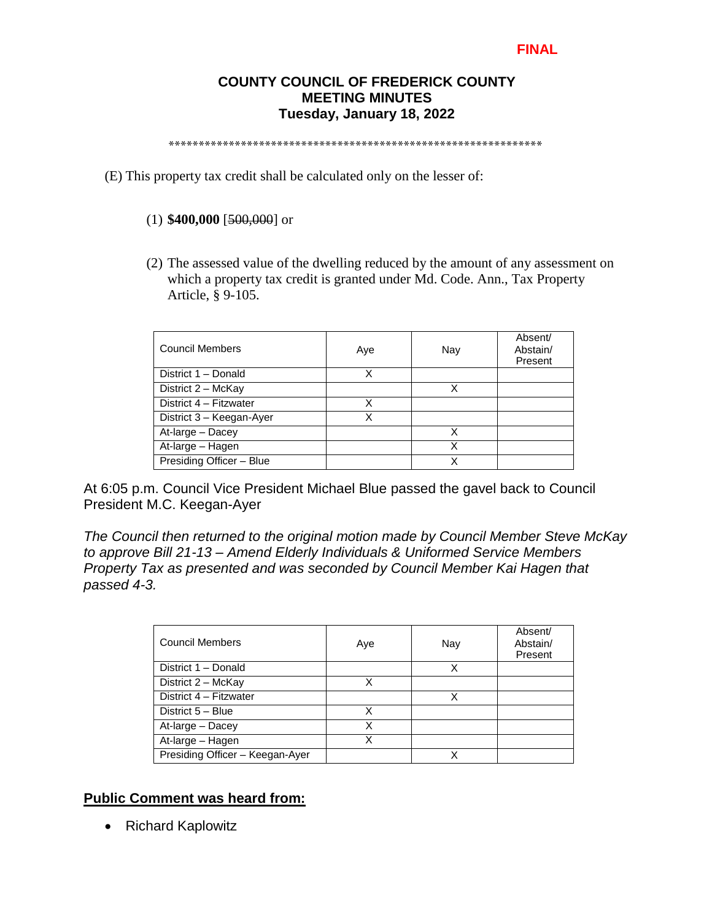# **COUNTY COUNCIL OF FREDERICK COUNTY MEETING MINUTES Tuesday, January 18, 2022**

\*\*\*\*\*\*\*\*\*\*\*\*\*\*\*\*\*\*\*\*\*\*\*\*\*\*\*\*\*\*\*\*\*\*\*\*\*\*\*\*\*\*\*\*\*\*\*\*\*\*\*\*\*\*\*\*\*\*\*\*\*\*

(E) This property tax credit shall be calculated only on the lesser of:

#### (1) **\$400,000** [500,000] or

(2) The assessed value of the dwelling reduced by the amount of any assessment on which a property tax credit is granted under Md. Code. Ann., Tax Property Article, § 9-105.

| <b>Council Members</b>   | Aye | Nay | Absent/<br>Abstain/<br>Present |
|--------------------------|-----|-----|--------------------------------|
| District 1 - Donald      | x   |     |                                |
| District 2 - McKay       |     | Χ   |                                |
| District 4 - Fitzwater   | Χ   |     |                                |
| District 3 - Keegan-Ayer | Χ   |     |                                |
| At-large - Dacey         |     | x   |                                |
| At-large - Hagen         |     | х   |                                |
| Presiding Officer - Blue |     |     |                                |

At 6:05 p.m. Council Vice President Michael Blue passed the gavel back to Council President M.C. Keegan-Ayer

*The Council then returned to the original motion made by Council Member Steve McKay to approve Bill 21-13 – Amend Elderly Individuals & Uniformed Service Members Property Tax as presented and was seconded by Council Member Kai Hagen that passed 4-3.* 

| Council Members                 | Aye | Nay | Absent/<br>Abstain/<br>Present |
|---------------------------------|-----|-----|--------------------------------|
| District 1 - Donald             |     |     |                                |
| District 2 - McKay              | x   |     |                                |
| District 4 - Fitzwater          |     | x   |                                |
| District 5 - Blue               | x   |     |                                |
| At-large - Dacey                | Χ   |     |                                |
| At-large - Hagen                | x   |     |                                |
| Presiding Officer - Keegan-Ayer |     | χ   |                                |

# **Public Comment was heard from:**

• Richard Kaplowitz